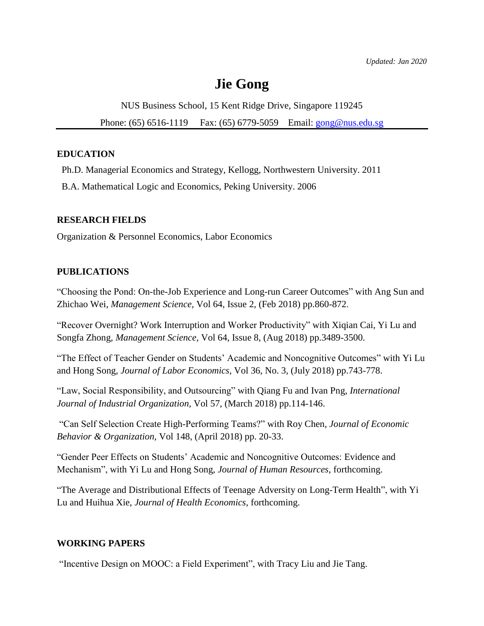# **Jie Gong**

NUS Business School, 15 Kent Ridge Drive, Singapore 119245

Phone: (65) 6516-1119 Fax: (65) 6779-5059 Email: [gong@nus.edu.sg](mailto:gong@nus.edu.sg)

## **EDUCATION**

Ph.D. Managerial Economics and Strategy, Kellogg, Northwestern University. 2011

B.A. Mathematical Logic and Economics, Peking University. 2006

#### **RESEARCH FIELDS**

Organization & Personnel Economics, Labor Economics

## **PUBLICATIONS**

"Choosing the Pond: On-the-Job Experience and Long-run Career Outcomes" with Ang Sun and Zhichao Wei, *Management Science,* Vol 64, Issue 2, (Feb 2018) pp.860-872.

"Recover Overnight? Work Interruption and Worker Productivity" with Xiqian Cai, Yi Lu and Songfa Zhong*, Management Science,* Vol 64, Issue 8, (Aug 2018) pp.3489-3500.

"The Effect of Teacher Gender on Students' Academic and Noncognitive Outcomes" with Yi Lu and Hong Song*, Journal of Labor Economics,* Vol 36, No. 3, (July 2018) pp.743-778.

"Law, Social Responsibility, and Outsourcing" with Qiang Fu and Ivan Png, *International Journal of Industrial Organization,* Vol 57, (March 2018) pp.114-146.

"Can Self Selection Create High-Performing Teams?" with Roy Chen, *Journal of Economic Behavior & Organization,* Vol 148, (April 2018) pp. 20-33.

"Gender Peer Effects on Students' Academic and Noncognitive Outcomes: Evidence and Mechanism", with Yi Lu and Hong Song, *Journal of Human Resources*, forthcoming.

"The Average and Distributional Effects of Teenage Adversity on Long-Term Health", with Yi Lu and Huihua Xie, *Journal of Health Economics*, forthcoming.

#### **WORKING PAPERS**

"Incentive Design on MOOC: a Field Experiment", with Tracy Liu and Jie Tang.